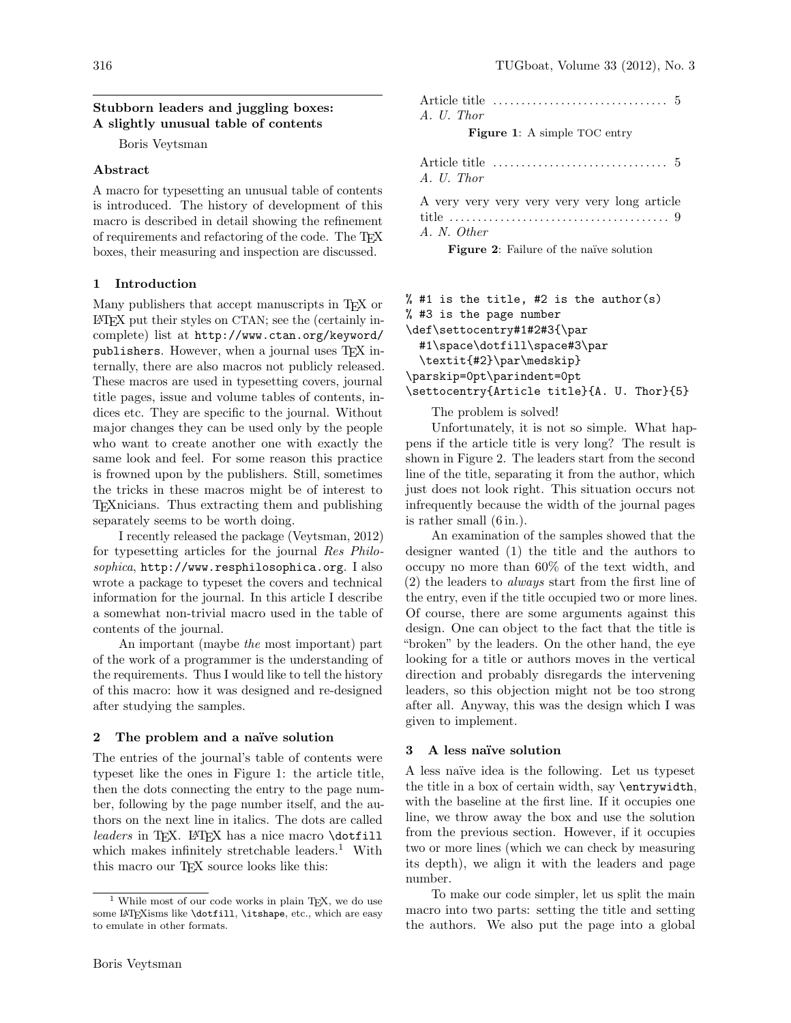## Stubborn leaders and juggling boxes: A slightly unusual table of contents

Boris Veytsman

### Abstract

A macro for typesetting an unusual table of contents is introduced. The history of development of this macro is described in detail showing the refinement of requirements and refactoring of the code. The TEX boxes, their measuring and inspection are discussed.

# 1 Introduction

Many publishers that accept manuscripts in TEX or LATEX put their styles on CTAN; see the (certainly incomplete) list at [http://www.ctan.org/keyword/](http://www.ctan.org/keyword/publishers) [publishers](http://www.ctan.org/keyword/publishers). However, when a journal uses TFX internally, there are also macros not publicly released. These macros are used in typesetting covers, journal title pages, issue and volume tables of contents, indices etc. They are specific to the journal. Without major changes they can be used only by the people who want to create another one with exactly the same look and feel. For some reason this practice is frowned upon by the publishers. Still, sometimes the tricks in these macros might be of interest to TEXnicians. Thus extracting them and publishing separately seems to be worth doing.

I recently released the package [\(Veytsman, 2012\)](#page-2-0) for typesetting articles for the journal Res Philosophica, <http://www.resphilosophica.org>. I also wrote a package to typeset the covers and technical information for the journal. In this article I describe a somewhat non-trivial macro used in the table of contents of the journal.

An important (maybe the most important) part of the work of a programmer is the understanding of the requirements. Thus I would like to tell the history of this macro: how it was designed and re-designed after studying the samples.

#### 2 The problem and a naïve solution

The entries of the journal's table of contents were typeset like the ones in Figure [1:](#page-0-0) the article title, then the dots connecting the entry to the page number, following by the page number itself, and the authors on the next line in italics. The dots are called leaders in TEX. LATEX has a nice macro  $\det$ ill which makes infinitely stretchable leaders.<sup>[1](#page-0-1)</sup> With this macro our TFX source looks like this:

Article title . . . . . . . . . . . . . . . . . . . . . . . . . . . . . . . 5 A. U. Thor

<span id="page-0-0"></span>Figure 1: A simple TOC entry

|            | Article title $\dots\dots\dots\dots\dots\dots\dots\dots\dots\dots\dots$ |  |
|------------|-------------------------------------------------------------------------|--|
| A. U. Thor |                                                                         |  |
|            |                                                                         |  |

A very very very very very very long article title . . . . . . . . . . . . . . . . . . . . . . . . . . . . . . . . . . . . . . . 9 A. N. Other

<span id="page-0-2"></span>Figure 2: Failure of the naïve solution

```
% #1 is the title, #2 is the author(s)
% #3 is the page number
\def\settocentry#1#2#3{\par
 #1\space\dotfill\space#3\par
  \textit{#2}\par\medskip}
\parskip=0pt\parindent=0pt
\settocentry{Article title}{A. U. Thor}{5}
```
The problem is solved!

Unfortunately, it is not so simple. What happens if the article title is very long? The result is shown in Figure [2.](#page-0-2) The leaders start from the second line of the title, separating it from the author, which just does not look right. This situation occurs not infrequently because the width of the journal pages is rather small (6 in.).

An examination of the samples showed that the designer wanted (1) the title and the authors to occupy no more than 60% of the text width, and (2) the leaders to always start from the first line of the entry, even if the title occupied two or more lines. Of course, there are some arguments against this design. One can object to the fact that the title is "broken" by the leaders. On the other hand, the eye looking for a title or authors moves in the vertical direction and probably disregards the intervening leaders, so this objection might not be too strong after all. Anyway, this was the design which I was given to implement.

#### 3 A less naïve solution

A less na¨ıve idea is the following. Let us typeset the title in a box of certain width, say \entrywidth, with the baseline at the first line. If it occupies one line, we throw away the box and use the solution from the previous section. However, if it occupies two or more lines (which we can check by measuring its depth), we align it with the leaders and page number.

To make our code simpler, let us split the main macro into two parts: setting the title and setting the authors. We also put the page into a global

<span id="page-0-1"></span><sup>&</sup>lt;sup>1</sup> While most of our code works in plain TEX, we do use some LATEXisms like \dotfill, \itshape, etc., which are easy to emulate in other formats.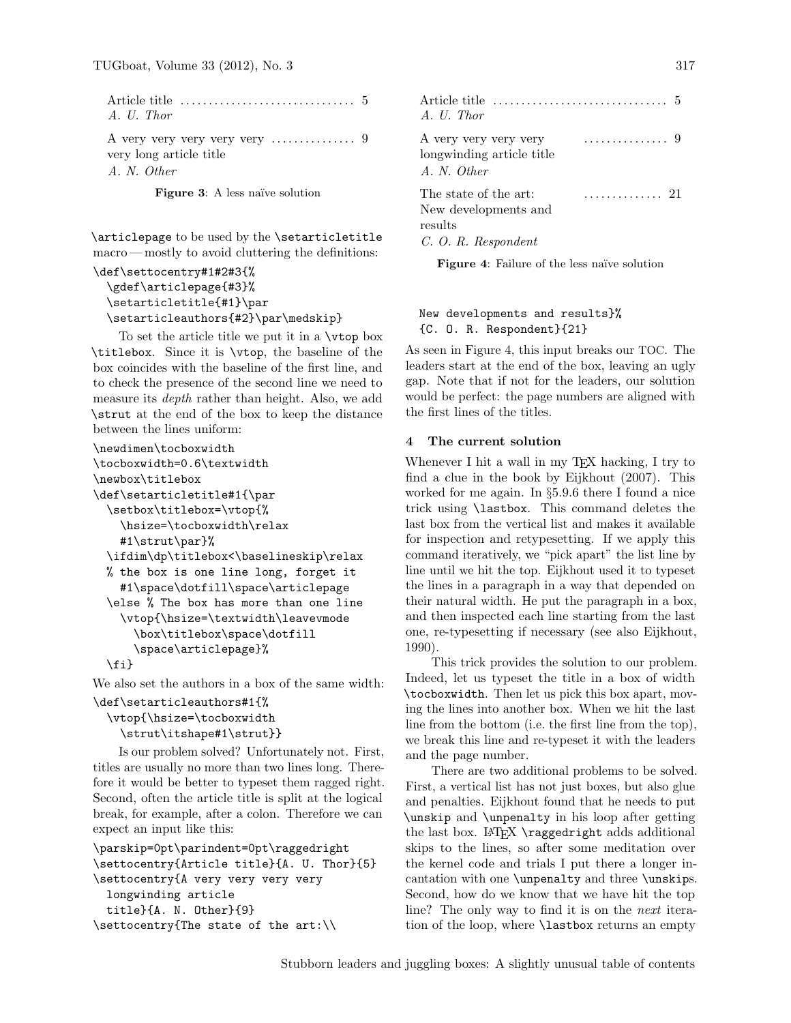| A. U. Thor |  |
|------------|--|

A very very very very very . . . . . . . . . . . . . . . 9 very long article title A. N. Other

Figure 3: A less naïve solution

\articlepage to be used by the \setarticletitle macro — mostly to avoid cluttering the definitions:

```
\def\settocentry#1#2#3{%
 \gdef\articlepage{#3}%
 \setarticletitle{#1}\par
 \setarticleauthors{#2}\par\medskip}
```
To set the article title we put it in a \vtop box \titlebox. Since it is \vtop, the baseline of the box coincides with the baseline of the first line, and to check the presence of the second line we need to measure its depth rather than height. Also, we add \strut at the end of the box to keep the distance between the lines uniform:

```
\newdimen\tocboxwidth
\tocboxwidth=0.6\textwidth
\newbox\titlebox
\def\setarticletitle#1{\par
 \setbox\titlebox=\vtop{%
   \hsize=\tocboxwidth\relax
   #1\strut\par}%
 \ifdim\dp\titlebox<\baselineskip\relax
 % the box is one line long, forget it
   #1\space\dotfill\space\articlepage
 \else % The box has more than one line
   \vtop{\hsize=\textwidth\leavevmode
      \box\titlebox\space\dotfill
      \space\articlepage}%
 \fi}
```
We also set the authors in a box of the same width:

```
\def\setarticleauthors#1{%
 \vtop{\hsize=\tocboxwidth
   \strut\itshape#1\strut}}
```
Is our problem solved? Unfortunately not. First, titles are usually no more than two lines long. Therefore it would be better to typeset them ragged right. Second, often the article title is split at the logical break, for example, after a colon. Therefore we can expect an input like this:

```
\parskip=0pt\parindent=0pt\raggedright
\settocentry{Article title}{A. U. Thor}{5}
\settocentry{A very very very very
 longwinding article
 title}{A. N. Other}{9}
\settocentry{The state of the art:\\
```

| A. U. Thor                                                                      |      |
|---------------------------------------------------------------------------------|------|
| A very very very very<br>longwinding article title<br>A. N. Other               | . 9  |
| The state of the art:<br>New developments and<br>results<br>C. O. R. Respondent | . 21 |

<span id="page-1-0"></span>Figure 4: Failure of the less naïve solution

# New developments and results}% {C. O. R. Respondent}{21}

As seen in Figure [4,](#page-1-0) this input breaks our TOC. The leaders start at the end of the box, leaving an ugly gap. Note that if not for the leaders, our solution would be perfect: the page numbers are aligned with the first lines of the titles.

# 4 The current solution

Whenever I hit a wall in my T<sub>E</sub>X hacking, I try to find a clue in the book by [Eijkhout \(2007\)](#page-2-1). This worked for me again. In §5.9.6 there I found a nice trick using \lastbox. This command deletes the last box from the vertical list and makes it available for inspection and retypesetting. If we apply this command iteratively, we "pick apart" the list line by line until we hit the top. Eijkhout used it to typeset the lines in a paragraph in a way that depended on their natural width. He put the paragraph in a box, and then inspected each line starting from the last one, re-typesetting if necessary (see also [Eijkhout,](#page-2-2) [1990\)](#page-2-2).

This trick provides the solution to our problem. Indeed, let us typeset the title in a box of width \tocboxwidth. Then let us pick this box apart, moving the lines into another box. When we hit the last line from the bottom (i.e. the first line from the top), we break this line and re-typeset it with the leaders and the page number.

There are two additional problems to be solved. First, a vertical list has not just boxes, but also glue and penalties. Eijkhout found that he needs to put \unskip and \unpenalty in his loop after getting the last box. LATEX \raggedright adds additional skips to the lines, so after some meditation over the kernel code and trials I put there a longer incantation with one \unpenalty and three \unskips. Second, how do we know that we have hit the top line? The only way to find it is on the next iteration of the loop, where \lastbox returns an empty